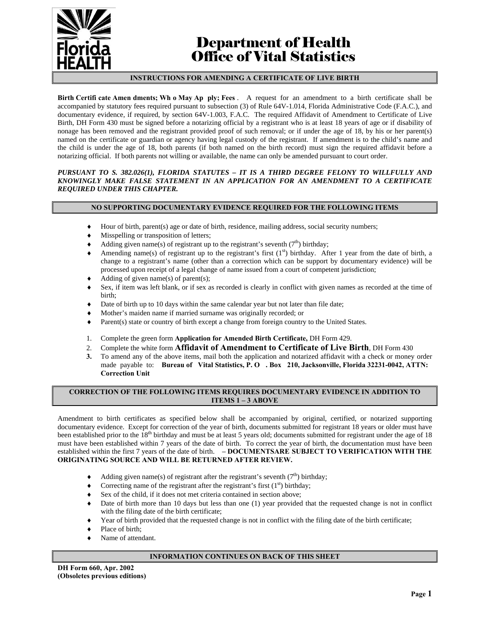

# **Department of Health<br>Office of Vital Statistics**

#### **INSTRUCTIONS FOR AMENDING A CERTIFICATE OF LIVE BIRTH**

**Birth Certifi cate Amen dments; Wh o May Ap ply; Fees** . A request for an amendment to a birth certificate shall be accompanied by statutory fees required pursuant to subsection (3) of Rule 64V-1.014, Florida Administrative Code (F.A.C.), and documentary evidence, if required, by section 64V-1.003, F.A.C. The required Affidavit of Amendment to Certificate of Live Birth, DH Form 430 must be signed before a notarizing official by a registrant who is at least 18 years of age or if disability of nonage has been removed and the registrant provided proof of such removal; or if under the age of 18, by his or her parent(s) named on the certificate or guardian or agency having legal custody of the registrant. If amendment is to the child's name and the child is under the age of 18, both parents (if both named on the birth record) must sign the required affidavit before a notarizing official. If both parents not willing or available, the name can only be amended pursuant to court order.

#### *PURSUANT TO S. 382.026(1), FLORIDA STATUTES – IT IS A THIRD DEGREE FELONY TO WILLFULLY AND KNOWINGLY MAKE FALSE STATEMENT IN AN APPLICATION FOR AN AMENDMENT TO A CERTIFICATE REQUIRED UNDER THIS CHAPTER.*

## **NO SUPPORTING DOCUMENTARY EVIDENCE REQUIRED FOR THE FOLLOWING ITEMS**

- ♦ Hour of birth, parent(s) age or date of birth, residence, mailing address, social security numbers;
- Misspelling or transposition of letters;
- $\blacklozenge$  Adding given name(s) of registrant up to the registrant's seventh ( $7<sup>th</sup>$ ) birthday;
- Amending name(s) of registrant up to the registrant's first  $(1<sup>st</sup>)$  birthday. After 1 year from the date of birth, a change to a registrant's name (other than a correction which can be support by documentary evidence) will be processed upon receipt of a legal change of name issued from a court of competent jurisdiction;
- Adding of given name(s) of parent(s);
- ♦ Sex, if item was left blank, or if sex as recorded is clearly in conflict with given names as recorded at the time of birth;
- ♦ Date of birth up to 10 days within the same calendar year but not later than file date;
- Mother's maiden name if married surname was originally recorded; or
- ♦ Parent(s) state or country of birth except a change from foreign country to the United States.
- 1. Complete the green form **Application for Amended Birth Certificate,** DH Form 429.
- 2. Complete the white form **Affidavit of Amendment to Certificate of Live Birth**, DH Form 430
- **3.** To amend any of the above items, mail both the application and notarized affidavit with a check or money order made payable to: **Bureau of Vital Statistics, P. O . Box 210, Jacksonville, Florida 32231-0042, ATTN: Correction Unit**

#### **CORRECTION OF THE FOLLOWING ITEMS REQUIRES DOCUMENTARY EVIDENCE IN ADDITION TO ITEMS 1 – 3 ABOVE**

Amendment to birth certificates as specified below shall be accompanied by original, certified, or notarized supporting documentary evidence. Except for correction of the year of birth, documents submitted for registrant 18 years or older must have been established prior to the 18<sup>th</sup> birthday and must be at least 5 years old; documents submitted for registrant under the age of 18 must have been established within 7 years of the date of birth. To correct the year of birth, the documentation must have been established within the first 7 years of the date of birth. **– DOCUMENTSARE SUBJECT TO VERIFICATION WITH THE ORIGINATING SOURCE AND WILL BE RETURNED AFTER REVIEW.**

- $\blacklozenge$  Adding given name(s) of registrant after the registrant's seventh (7<sup>th</sup>) birthday;
- $\blacklozenge$  Correcting name of the registrant after the registrant's first (1<sup>st</sup>) birthday;
- ♦ Sex of the child, if it does not met criteria contained in section above;
- Date of birth more than 10 days but less than one  $(1)$  year provided that the requested change is not in conflict with the filing date of the birth certificate;
- ♦ Year of birth provided that the requested change is not in conflict with the filing date of the birth certificate;
- Place of birth:
- Name of attendant.

### **INFORMATION CONTINUES ON BACK OF THIS SHEET**

**DH Form 660, Apr. 2002 (Obsoletes previous editions)**